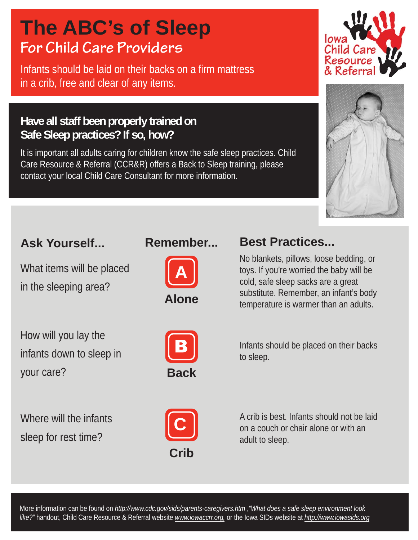# **For Child Care Providers The ABC's of Sleep**

Infants should be laid on their backs on a firm mattress in a crib, free and clear of any items.

#### **Have all staff been properly trained on Safe Sleep practices? If so, how?**

It is important all adults caring for children know the safe sleep practices. Child Care Resource & Referral (CCR&R) offers a Back to Sleep training, please contact your local Child Care Consultant for more information.





### **Ask Yourself...**

What items will be placed in the sleeping area?

How will you lay the infants down to sleep in your care?





#### **Best Practices...**

No blankets, pillows, loose bedding, or toys. If you're worried the baby will be cold, safe sleep sacks are a great substitute. Remember, an infant's body temperature is warmer than an adults.



Infants should be placed on their backs to sleep.

Where will the infants sleep for rest time?



A crib is best. Infants should not be laid on a couch or chair alone or with an adult to sleep.

More information can be found on *http://www.cdc.gov/sids/parents-caregivers.htm* ,*"What does a safe sleep environment look like?"* handout, Child Care Resource & Referral website *www.iowaccrr.org,* or the Iowa SIDs website at *http://www.iowasids.org*